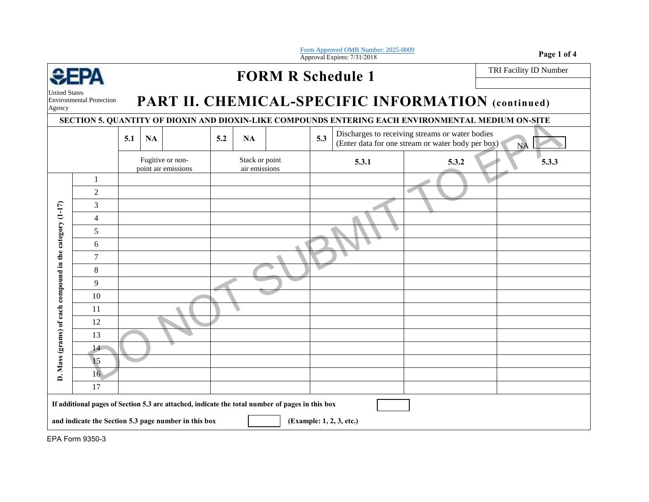| Form Approved OMB Number: 2025-0009<br>Approval Expires: 7/31/2018 |                                                                                                                                                                                     |     |           |                                         |     |                                 |  |     |                                                                                                      |       |  |           | Page 1 of 4            |
|--------------------------------------------------------------------|-------------------------------------------------------------------------------------------------------------------------------------------------------------------------------------|-----|-----------|-----------------------------------------|-----|---------------------------------|--|-----|------------------------------------------------------------------------------------------------------|-------|--|-----------|------------------------|
|                                                                    |                                                                                                                                                                                     |     |           |                                         |     | <b>FORM R Schedule 1</b>        |  |     |                                                                                                      |       |  |           | TRI Facility ID Number |
| <b>United States</b><br>Agency                                     | <b>Environmental Protection</b>                                                                                                                                                     |     |           |                                         |     |                                 |  |     | PART II. CHEMICAL-SPECIFIC INFORMATION (continued)                                                   |       |  |           |                        |
|                                                                    |                                                                                                                                                                                     |     |           |                                         |     |                                 |  |     | SECTION 5. QUANTITY OF DIOXIN AND DIOXIN-LIKE COMPOUNDS ENTERING EACH ENVIRONMENTAL MEDIUM ON-SITE   |       |  |           |                        |
|                                                                    |                                                                                                                                                                                     | 5.1 | <b>NA</b> |                                         | 5.2 | NA                              |  | 5.3 | Discharges to receiving streams or water bodies<br>(Enter data for one stream or water body per box) |       |  | <b>NA</b> |                        |
|                                                                    |                                                                                                                                                                                     |     |           | Fugitive or non-<br>point air emissions |     | Stack or point<br>air emissions |  |     | 5.3.1                                                                                                | 5.3.2 |  |           | 5.3.3                  |
|                                                                    | $\mathbf{1}$                                                                                                                                                                        |     |           |                                         |     |                                 |  |     |                                                                                                      |       |  |           |                        |
|                                                                    | $\overline{2}$                                                                                                                                                                      |     |           |                                         |     |                                 |  |     |                                                                                                      |       |  |           |                        |
|                                                                    | 3                                                                                                                                                                                   |     |           |                                         |     |                                 |  |     |                                                                                                      |       |  |           |                        |
|                                                                    | $\overline{4}$                                                                                                                                                                      |     |           |                                         |     |                                 |  |     |                                                                                                      |       |  |           |                        |
| Mass (grams) of each compound in the category (1-17)               | 5                                                                                                                                                                                   |     |           |                                         |     |                                 |  |     |                                                                                                      |       |  |           |                        |
|                                                                    | 6                                                                                                                                                                                   |     |           |                                         |     |                                 |  |     |                                                                                                      |       |  |           |                        |
|                                                                    | $\tau$                                                                                                                                                                              |     |           |                                         |     |                                 |  |     |                                                                                                      |       |  |           |                        |
|                                                                    | 8                                                                                                                                                                                   |     |           |                                         |     |                                 |  |     |                                                                                                      |       |  |           |                        |
|                                                                    | 9                                                                                                                                                                                   |     |           |                                         |     |                                 |  |     |                                                                                                      |       |  |           |                        |
|                                                                    | 10                                                                                                                                                                                  |     |           |                                         |     |                                 |  |     |                                                                                                      |       |  |           |                        |
|                                                                    | 11                                                                                                                                                                                  |     |           |                                         |     |                                 |  |     |                                                                                                      |       |  |           |                        |
|                                                                    | 12                                                                                                                                                                                  |     |           |                                         |     |                                 |  |     |                                                                                                      |       |  |           |                        |
|                                                                    | 13                                                                                                                                                                                  |     |           |                                         |     |                                 |  |     |                                                                                                      |       |  |           |                        |
|                                                                    | 14                                                                                                                                                                                  |     |           |                                         |     |                                 |  |     |                                                                                                      |       |  |           |                        |
|                                                                    | 15                                                                                                                                                                                  |     |           |                                         |     |                                 |  |     |                                                                                                      |       |  |           |                        |
| <b>A</b>                                                           | 16                                                                                                                                                                                  |     |           |                                         |     |                                 |  |     |                                                                                                      |       |  |           |                        |
|                                                                    | 17                                                                                                                                                                                  |     |           |                                         |     |                                 |  |     |                                                                                                      |       |  |           |                        |
|                                                                    | If additional pages of Section 5.3 are attached, indicate the total number of pages in this box<br>and indicate the Section 5.3 page number in this box<br>(Example: 1, 2, 3, etc.) |     |           |                                         |     |                                 |  |     |                                                                                                      |       |  |           |                        |

EPA Form 9350-3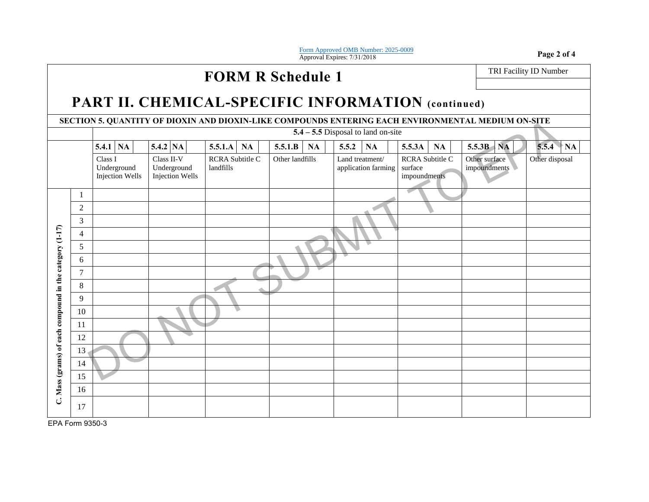Form App[roved OMB Number: 2025-0009](http://www2.epa.gov/sites/production/files/2014-10/documents/tri_paperwork_reduction_act_burden_statement.pdf) Form Approved OMB Number: 2025-0009<br>Approval Expires: 7/31/2018 **Page 2 of 4** 

## **FORM R Schedule 1** TRI Facility ID Number

## **PART II. CHEMICAL-SPECIFIC INFORMATION (continued)**

**SECTION 5. QUANTITY OF DIOXIN AND DIOXIN-LIKE COMPOUNDS ENTERING EACH ENVIRONMENTAL MEDIUM ON-SITE**

| SECTION 5. QUANTITY OF DIOXIN AND DIOXIN-LIKE COMPOUNDS ENTERING EACH ENVIRONMENTAL MEDIUM ON-SITE |                |                                                                                                         |          |                                     |           |                 |    |       |                                        |        |                                 |                               |                    |  |
|----------------------------------------------------------------------------------------------------|----------------|---------------------------------------------------------------------------------------------------------|----------|-------------------------------------|-----------|-----------------|----|-------|----------------------------------------|--------|---------------------------------|-------------------------------|--------------------|--|
|                                                                                                    |                | $5.4 - 5.5$ Disposal to land on-site                                                                    |          |                                     |           |                 |    |       |                                        |        |                                 |                               |                    |  |
|                                                                                                    |                | <b>5.4.1</b> NA                                                                                         | 5.4.2 NA | 5.5.1.A                             | <b>NA</b> | 5.5.1.B         | NA | 5.5.2 | NA                                     | 5.5.3A | NA                              | $5.5.3B$ NA                   | 5.5.4<br><b>NA</b> |  |
|                                                                                                    |                | Class I<br>Class II-V<br>Underground<br>Underground<br><b>Injection Wells</b><br><b>Injection Wells</b> |          | <b>RCRA</b> Subtitle C<br>landfills |           | Other landfills |    |       | Land treatment/<br>application farming |        | RCRA Subtitle C<br>impoundments | Other surface<br>impoundments | Other disposal     |  |
|                                                                                                    | -1             |                                                                                                         |          |                                     |           |                 |    |       |                                        |        |                                 |                               |                    |  |
|                                                                                                    | $\overline{c}$ |                                                                                                         |          |                                     |           |                 |    |       |                                        |        |                                 |                               |                    |  |
|                                                                                                    | 3              |                                                                                                         |          |                                     |           |                 |    |       |                                        |        |                                 |                               |                    |  |
|                                                                                                    | $\overline{4}$ |                                                                                                         |          |                                     |           |                 |    |       |                                        |        |                                 |                               |                    |  |
|                                                                                                    | 5              |                                                                                                         |          |                                     |           |                 |    |       |                                        |        |                                 |                               |                    |  |
|                                                                                                    | 6              |                                                                                                         |          |                                     |           |                 |    |       |                                        |        |                                 |                               |                    |  |
|                                                                                                    | $\overline{7}$ |                                                                                                         |          |                                     |           |                 |    |       |                                        |        |                                 |                               |                    |  |
|                                                                                                    | 8              |                                                                                                         |          |                                     |           |                 |    |       |                                        |        |                                 |                               |                    |  |
|                                                                                                    | 9              |                                                                                                         |          |                                     |           |                 |    |       |                                        |        |                                 |                               |                    |  |
| C. Mass (grams) of each compound in the category (1-17)                                            | 10             |                                                                                                         |          |                                     |           |                 |    |       |                                        |        |                                 |                               |                    |  |
|                                                                                                    | 11             |                                                                                                         |          |                                     |           |                 |    |       |                                        |        |                                 |                               |                    |  |
|                                                                                                    | 12             |                                                                                                         |          |                                     |           |                 |    |       |                                        |        |                                 |                               |                    |  |
|                                                                                                    | 13             |                                                                                                         |          |                                     |           |                 |    |       |                                        |        |                                 |                               |                    |  |
|                                                                                                    | 14             |                                                                                                         |          |                                     |           |                 |    |       |                                        |        |                                 |                               |                    |  |
|                                                                                                    | 15             |                                                                                                         |          |                                     |           |                 |    |       |                                        |        |                                 |                               |                    |  |
|                                                                                                    | 16             |                                                                                                         |          |                                     |           |                 |    |       |                                        |        |                                 |                               |                    |  |
|                                                                                                    | 17             |                                                                                                         |          |                                     |           |                 |    |       |                                        |        |                                 |                               |                    |  |

EPA Form 9350-3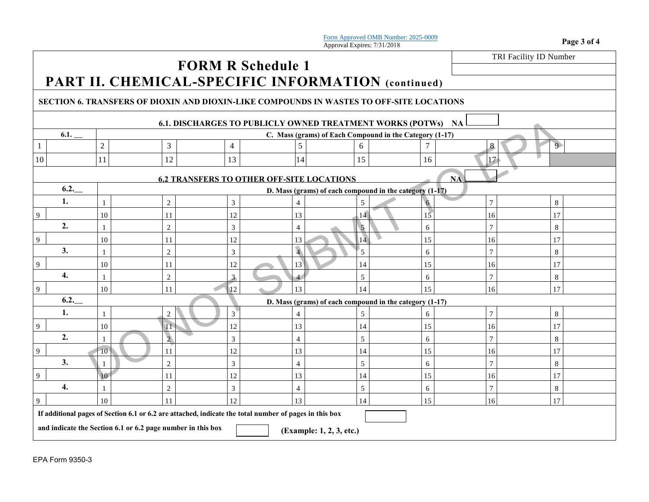Form Approve[d OMB Number: 2025-0009](http://www2.epa.gov/sites/production/files/2014-10/documents/tri_paperwork_reduction_act_burden_statement.pdf) **Form Approved OMB Number:** 2025-0009<br> **Page 3 of 4 Page 3 of 4** 

TRI Facility ID Number

## **FORM R Schedule 1 PART II. CHEMICAL-SPECIFIC INFORMATION (continued)**

## **SECTION 6. TRANSFERS OF DIOXIN AND DIOXIN-LIKE COMPOUNDS IN WASTES TO OFF-SITE LOCATIONS**

| <b>6.1. DISCHARGES TO PUBLICLY OWNED TREATMENT WORKS (POTWS)</b><br>NA                                 |                                                                                         |                                                           |                |                |                                                         |                 |          |                |                |  |  |  |
|--------------------------------------------------------------------------------------------------------|-----------------------------------------------------------------------------------------|-----------------------------------------------------------|----------------|----------------|---------------------------------------------------------|-----------------|----------|----------------|----------------|--|--|--|
|                                                                                                        | 6.1.                                                                                    |                                                           |                |                | C. Mass (grams) of Each Compound in the Category (1-17) |                 |          |                |                |  |  |  |
|                                                                                                        |                                                                                         | $\sqrt{2}$                                                | $\mathfrak{Z}$ | $\overline{4}$ | 5                                                       | 6               |          | 8              | 9 <sup>°</sup> |  |  |  |
| 10                                                                                                     |                                                                                         | 11                                                        | 12             | 13             | 14                                                      | 15              | 16       | 17             |                |  |  |  |
| <b>NA</b><br><b>6.2 TRANSFERS TO OTHER OFF-SITE LOCATIONS</b>                                          |                                                                                         |                                                           |                |                |                                                         |                 |          |                |                |  |  |  |
|                                                                                                        | 6.2.                                                                                    | D. Mass (grams) of each compound in the category $(1-17)$ |                |                |                                                         |                 |          |                |                |  |  |  |
|                                                                                                        | 1.                                                                                      |                                                           | $\overline{2}$ | 3              | 4                                                       | 5               | $\sigma$ | $\tau$         | 8              |  |  |  |
| 9                                                                                                      |                                                                                         | $10\,$                                                    | 11             | 12             | 13                                                      | 14              | 15       | 16             | 17             |  |  |  |
|                                                                                                        | 2.                                                                                      |                                                           | $\sqrt{2}$     | 3              | $\overline{4}$                                          | $5\phantom{.0}$ | 6        | $\tau$         | 8              |  |  |  |
| 9                                                                                                      |                                                                                         | 10                                                        | 11             | 12             | 13                                                      | $\overline{14}$ | 15       | 16             | 17             |  |  |  |
|                                                                                                        | 3.                                                                                      | 1                                                         | $\mathbf{2}$   | 3              | $\sqrt{4}$                                              | 5               | 6        | $\overline{7}$ | 8              |  |  |  |
| 9                                                                                                      |                                                                                         | 10                                                        | 11             | 12             | 13                                                      | 14              | 15       | 16             | 17             |  |  |  |
|                                                                                                        | 4.                                                                                      | 1                                                         | $\mathbf{2}$   | $\mathbf{3}$   | 4                                                       | $\mathfrak{S}$  | 6        | 7              | 8              |  |  |  |
| 9                                                                                                      |                                                                                         | 10                                                        | 11             | 12             | 13                                                      | 14              | 15       | 16             | 17             |  |  |  |
|                                                                                                        | 6.2.                                                                                    |                                                           |                |                | D. Mass (grams) of each compound in the category (1-17) |                 |          |                |                |  |  |  |
|                                                                                                        | 1.                                                                                      |                                                           | 2              | $\mathfrak{Z}$ | 4                                                       | 5               | 6        | $\tau$         | 8              |  |  |  |
| 9                                                                                                      |                                                                                         | 10                                                        | 11             | 12             | 13                                                      | 14              | 15       | 16             | 17             |  |  |  |
|                                                                                                        | 2.                                                                                      |                                                           | $\overline{2}$ | 3              | $\overline{4}$                                          | 5               | 6        | $\tau$         | 8              |  |  |  |
| 9                                                                                                      |                                                                                         | 10 <sup>°</sup>                                           | 11             | 12             | 13                                                      | 14              | 15       | 16             | 17             |  |  |  |
|                                                                                                        | 3.                                                                                      |                                                           | $\mathbf{2}$   | 3              | $\overline{4}$                                          | $\mathfrak{S}$  | 6        | $\tau$         | 8              |  |  |  |
| 9                                                                                                      |                                                                                         | 10                                                        | 11             | 12             | 13                                                      | 14              | 15       | 16             | 17             |  |  |  |
|                                                                                                        | 4.                                                                                      |                                                           | $\mathbf{2}$   | $\mathfrak{Z}$ | $\overline{4}$                                          | $\mathfrak{S}$  | 6        | 7              | 8              |  |  |  |
| 9                                                                                                      |                                                                                         | 10                                                        | 11             | 12             | 13                                                      | 14              | 15       | 16             | 17             |  |  |  |
| If additional pages of Section 6.1 or 6.2 are attached, indicate the total number of pages in this box |                                                                                         |                                                           |                |                |                                                         |                 |          |                |                |  |  |  |
|                                                                                                        | and indicate the Section 6.1 or 6.2 page number in this box<br>(Example: 1, 2, 3, etc.) |                                                           |                |                |                                                         |                 |          |                |                |  |  |  |